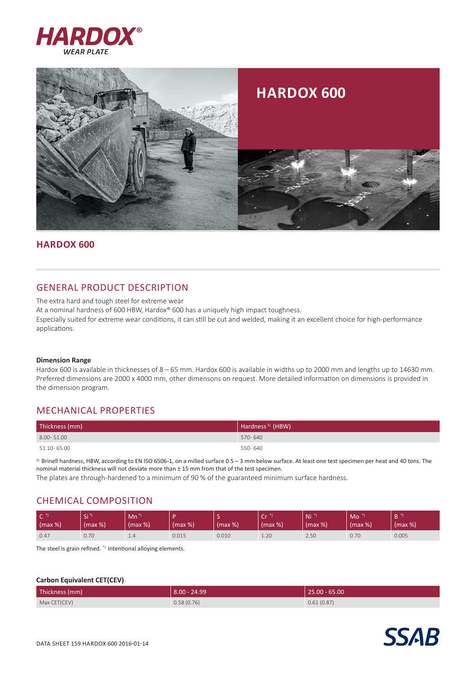



## **Hardox 600**

# GENERAL PRODUCT DESCRIPTION

The extra hard and tough steel for extreme wear

At a nominal hardness of 600 HBW, Hardox® 600 has a uniquely high impact toughness.

Especially suited for extreme wear conditions, it can still be cut and welded, making it an excellent choice for high-performance applications.

### **Dimension Range**

Hardox 600 is available in thicknesses of 8 – 65 mm. Hardox 600 is available in widths up to 2000 mm and lengths up to 14630 mm. Preferred dimensions are 2000 x 4000 mm, other dimensons on request. More detailed information on dimensions is provided in the dimension program.

# MECHANICAL PROPERTIES

| Thickness (mm) | Hardness <sup>1)</sup> (HBW) |
|----------------|------------------------------|
| 8.00-51.00     | 570-640                      |
| 51.10-65.00    | 550-640                      |

 $1)$  Brinell hardness, HBW, according to EN ISO 6506-1, on a milled surface 0.5 – 3 mm below surface. At least one test specimen per heat and 40 tons. The nominal material thickness will not deviate more than ± 15 mm from that of the test specimen. The plates are through-hardened to a minimum of 90 % of the guaranteed minimum surface hardness.

# CHEMICAL COMPOSITION

| $\mathsf{C}^*$<br>$\mid$ (max %) | / Si <sup>*</sup><br>(max %) | /Mn <sup>*</sup><br>(max %) | (max %) | (max %) | $\sim$<br>ີ<br>(max %) | Ni.<br>(max %) | Mo<br>$(max \%)$ | D<br>(max %) |
|----------------------------------|------------------------------|-----------------------------|---------|---------|------------------------|----------------|------------------|--------------|
| 0.47                             | 0.70                         | 1.4                         | 0.015   | 0.010   | 1.20                   | 2.50           | 0.70             | 0.005        |

The steel is grain refined. \*) Intentional alloying elements.

## **Carbon Equivalent CET(CEV)**

| Thickness (mm) | $  8.00 - 24.99  $ | $ 25.00 - 65.00 $ |
|----------------|--------------------|-------------------|
| Max CET(CEV)   | 0.58(0.76)         | 0.61(0.87)        |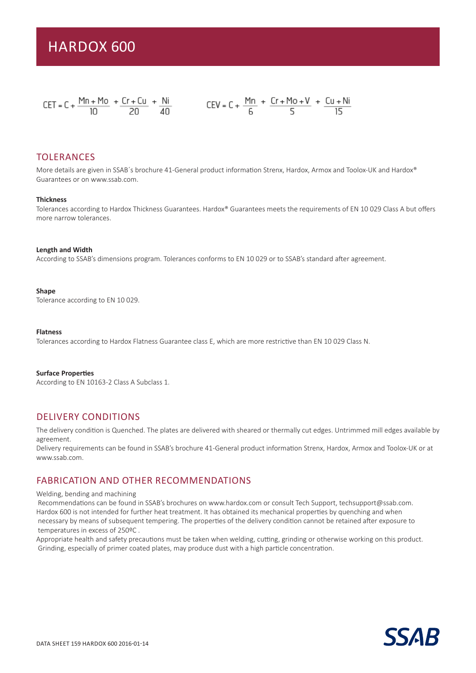$$
CET = C + \frac{Mn + Mo}{10} + \frac{Cr + Cu}{20} + \frac{Ni}{40}
$$
  

$$
CEV = C + \frac{Mn}{6} + \frac{Cr + Mo + V}{5} + \frac{Cu + Ni}{15}
$$

## TOLERANCES

More details are given in SSAB's brochure 41-General product information Strenx, Hardox, Armox and Toolox-UK and Hardox® Guarantees or on www.ssab.com.

### **Thickness**

Tolerances according to Hardox Thickness Guarantees. Hardox® Guarantees meets the requirements of EN 10 029 Class A but offers more narrow tolerances.

 $\overline{15}$ 

## **Length and Width**

According to SSAB's dimensions program. Tolerances conforms to EN 10 029 or to SSAB's standard after agreement.

#### **Shape**

Tolerance according to EN 10 029.

#### **Flatness**

Tolerances according to Hardox Flatness Guarantee class E, which are more restrictive than EN 10 029 Class N.

#### **Surface Properties**

According to EN 10163-2 Class A Subclass 1.

## DELIVERY CONDITIONS

The delivery condition is Quenched. The plates are delivered with sheared or thermally cut edges. Untrimmed mill edges available by agreement.

Delivery requirements can be found in SSAB's brochure 41-General product information Strenx, Hardox, Armox and Toolox-UK or at www.ssab.com.

## FABRICATION AND OTHER RECOMMENDATIONS

#### Welding, bending and machining

 Recommendations can be found in SSAB's brochures on www.hardox.com or consult Tech Support, techsupport@ssab.com. Hardox 600 is not intended for further heat treatment. It has obtained its mechanical properties by quenching and when necessary by means of subsequent tempering. The properties of the delivery condition cannot be retained after exposure to temperatures in excess of 250ºC .

Appropriate health and safety precautions must be taken when welding, cutting, grinding or otherwise working on this product. Grinding, especially of primer coated plates, may produce dust with a high particle concentration.